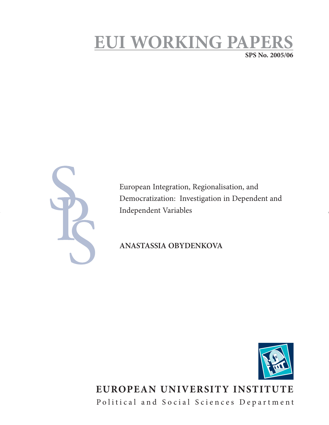# **EUI WORKING PAPE SPS No. 2005/06**

European Integration, Regionalisation, and Democratization: Investigation in Dependent and Independent Variables

**ANASTASSIA OBYDENKOVA**



# **EUROPEAN UNIVERSITY INSTITUTE** Political and Social Sciences Department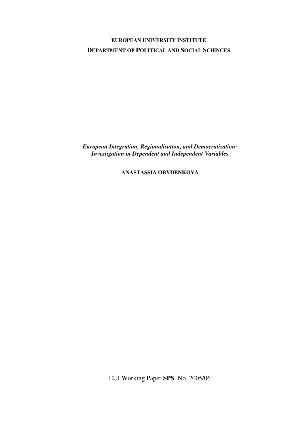# **EUROPEAN UNIVERSITY INSTITUTE DEPARTMENT OF POLITICAL AND SOCIAL SCIENCES**

*European Integration, Regionalisation, and Democratization: Investigation in Dependent and Independent Variables* 

### **ANASTASSIA OBYDENKOVA**

EUI Working Paper **SPS** No. 2005/06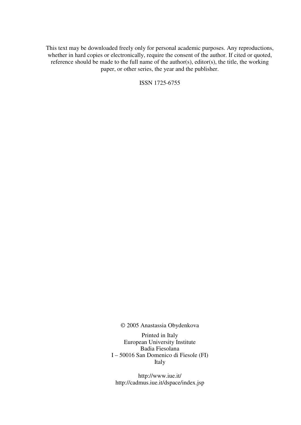This text may be downloaded freely only for personal academic purposes. Any reproductions, whether in hard copies or electronically, require the consent of the author. If cited or quoted, reference should be made to the full name of the author(s), editor(s), the title, the working paper, or other series, the year and the publisher.

ISSN 1725-6755

© 2005 Anastassia Obydenkova

Printed in Italy European University Institute Badia Fiesolana I – 50016 San Domenico di Fiesole (FI) Italy

http://www.iue.it/ http://cadmus.iue.it/dspace/index.jsp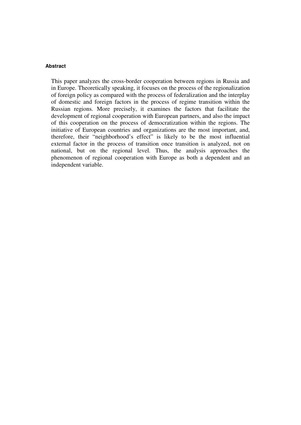#### **Abstract**

This paper analyzes the cross-border cooperation between regions in Russia and in Europe. Theoretically speaking, it focuses on the process of the regionalization of foreign policy as compared with the process of federalization and the interplay of domestic and foreign factors in the process of regime transition within the Russian regions. More precisely, it examines the factors that facilitate the development of regional cooperation with European partners, and also the impact of this cooperation on the process of democratization within the regions. The initiative of European countries and organizations are the most important, and, therefore, their "neighborhood's effect" is likely to be the most influential external factor in the process of transition once transition is analyzed, not on national, but on the regional level. Thus, the analysis approaches the phenomenon of regional cooperation with Europe as both a dependent and an independent variable.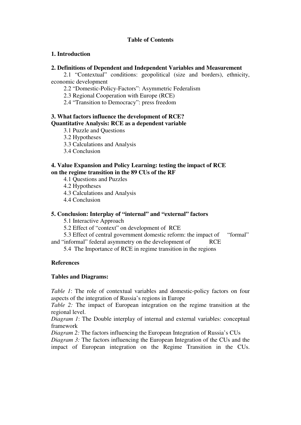#### **Table of Contents**

#### **1. Introduction**

#### **2. Definitions of Dependent and Independent Variables and Measurement**

 2.1 "Contextual" conditions: geopolitical (size and borders), ethnicity, economic development

2.2 "Domestic-Policy-Factors": Asymmetric Federalism

2.3 Regional Cooperation with Europe (RCE)

2.4 "Transition to Democracy": press freedom

#### **3. What factors influence the development of RCE? Quantitative Analysis: RCE as a dependent variable**

3.1 Puzzle and Questions

3.2 Hypotheses

3.3 Calculations and Analysis

3.4 Conclusion

#### **4. Value Expansion and Policy Learning: testing the impact of RCE on the regime transition in the 89 CUs of the RF**

4.1 Questions and Puzzles

4.2 Hypotheses

4.3 Calculations and Analysis

4.4 Conclusion

### **5. Conclusion: Interplay of "internal" and "external" factors**

5.1 Interactive Approach

5.2 Effect of "context" on development of RCE

5.3 Effect of central government domestic reform: the impact of "formal"

and "informal" federal asymmetry on the development of RCE

5.4 The Importance of RCE in regime transition in the regions

### **References**

#### **Tables and Diagrams:**

*Table 1*: The role of contextual variables and domestic-policy factors on four aspects of the integration of Russia's regions in Europe

*Table 2:* The impact of European integration on the regime transition at the regional level.

*Diagram 1*: The Double interplay of internal and external variables: conceptual framework

*Diagram 2:* The factors influencing the European Integration of Russia's CUs

*Diagram 3:* The factors influencing the European Integration of the CUs and the impact of European integration on the Regime Transition in the CUs.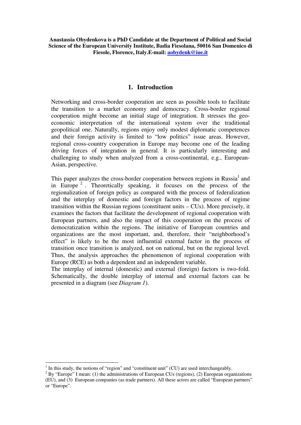### **1. Introduction**

Networking and cross-border cooperation are seen as possible tools to facilitate the transition to a market economy and democracy. Cross-border regional cooperation might become an initial stage of integration. It stresses the geoeconomic interpretation of the international system over the traditional geopolitical one. Naturally, regions enjoy only modest diplomatic competences and their foreign activity is limited to "low politics" issue areas. However, regional cross-country cooperation in Europe may become one of the leading driving forces of integration in general. It is particularly interesting and challenging to study when analyzed from a cross-continental, e.g., European-Asian, perspective.

This paper analyzes the cross-border cooperation between regions in Russia $<sup>1</sup>$  and</sup> in Europe<sup>2</sup>. Theoretically speaking, it focuses on the process of the regionalization of foreign policy as compared with the process of federalization and the interplay of domestic and foreign factors in the process of regime transition within the Russian regions (constituent units – CUs). More precisely, it examines the factors that facilitate the development of regional cooperation with European partners, and also the impact of this cooperation on the process of democratization within the regions. The initiative of European countries and organizations are the most important, and, therefore, their "neighborhood's effect" is likely to be the most influential external factor in the process of transition once transition is analyzed, not on national, but on the regional level. Thus, the analysis approaches the phenomenon of regional cooperation with Europe (RCE) as both a dependent and an independent variable.

The interplay of internal (domestic) and external (foreign) factors is two-fold. Schematically, the double interplay of internal and external factors can be presented in a diagram (see *Diagram 1*).

<sup>&</sup>lt;sup>1</sup> In this study, the notions of "region" and "constituent unit" (CU) are used interchangeably.

 $2^{2}$  By "Europe" I mean: (1) the administrations of European CUs (regions), (2) European organizations (EU), and (3) European companies (as trade partners). All these actors are called "European partners" or "Europe".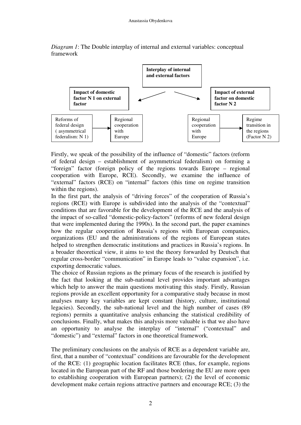

*Diagram 1*: The Double interplay of internal and external variables: conceptual framework

Firstly, we speak of the possibility of the influence of "domestic" factors (reform of federal design – establishment of asymmetrical federalism) on forming a "foreign" factor (foreign policy of the regions towards Europe – regional cooperation with Europe, RCE). Secondly, we examine the influence of "external" factors (RCE) on "internal" factors (this time on regime transition within the regions).

In the first part, the analysis of "driving forces" of the cooperation of Russia's regions (RCE) with Europe is subdivided into the analysis of the "contextual" conditions that are favorable for the development of the RCE and the analysis of the impact of so-called "domestic-policy-factors" (reforms of new federal design that were implemented during the 1990s). In the second part, the paper examines how the regular cooperation of Russia's regions with European companies, organizations (EU and the administrations of the regions of European states helped to strengthen democratic institutions and practices in Russia's regions. In a broader theoretical view, it aims to test the theory forwarded by Deutsch that regular cross-border "communication" in Europe leads to "value expansion", i.e. exporting democratic values.

The choice of Russian regions as the primary focus of the research is justified by the fact that looking at the sub-national level provides important advantages which help to answer the main questions motivating this study. Firstly, Russian regions provide an excellent opportunity for a comparative study because in most analyses many key variables are kept constant (history, culture, institutional legacies). Secondly, the sub-national level and the high number of cases (89 regions) permits a quantitative analysis enhancing the statistical credibility of conclusions. Finally, what makes this analysis more valuable is that we also have an opportunity to analyse the interplay of "internal" ("contextual" and "domestic") and "external" factors in one theoretical framework.

The preliminary conclusions on the analysis of RCE as a dependent variable are, first, that a number of "contextual" conditions are favourable for the development of the RCE: (1) geographic location facilitates RCE (thus, for example, regions located in the European part of the RF and those bordering the EU are more open to establishing cooperation with European partners); (2) the level of economic development make certain regions attractive partners and encourage RCE; (3) the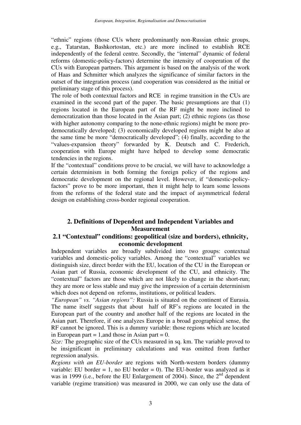"ethnic" regions (those CUs where predominantly non-Russian ethnic groups, e.g., Tatarstan, Bashkortostan, etc.) are more inclined to establish RCE independently of the federal centre. Secondly, the "internal" dynamic of federal reforms (domestic-policy-factors) determine the intensity of cooperation of the CUs with European partners. This argument is based on the analysis of the work of Haas and Schmitter which analyzes the significance of similar factors in the outset of the integration process (and cooperation was considered as the initial or preliminary stage of this process).

The role of both contextual factors and RCE in regime transition in the CUs are examined in the second part of the paper. The basic presumptions are that (1) regions located in the European part of the RF might be more inclined to democratization than those located in the Asian part; (2) ethnic regions (as those with higher autonomy comparing to the none-ethnic regions) might be more prodemocratically developed; (3) economically developed regions might be also at the same time be more "democratically developed"; (4) finally, according to the "values-expansion theory" forwarded by K. Deutsch and C. Frederich, cooperation with Europe might have helped to develop some democratic tendencies in the regions.

If the "contextual" conditions prove to be crucial, we will have to acknowledge a certain determinism in both forming the foreign policy of the regions and democratic development on the regional level. However, if "domestic-policyfactors" prove to be more important, then it might help to learn some lessons from the reforms of the federal state and the impact of asymmetrical federal design on establishing cross-border regional cooperation.

# **2. Definitions of Dependent and Independent Variables and Measurement**

### **2.1 "Contextual" conditions: geopolitical (size and borders), ethnicity, economic development**

Independent variables are broadly subdivided into two groups: contextual variables and domestic-policy variables. Among the "contextual" variables we distinguish size, direct border with the EU, location of the CU in the European or Asian part of Russia, economic development of the CU, and ethnicity. The "contextual" factors are those which are not likely to change in the short-run; they are more or less stable and may give the impression of a certain determinism which does not depend on reforms, institutions, or political leaders.

*"European" vs. "Asian regions":* Russia is situated on the continent of Eurasia. The name itself suggests that about half of RF's regions are located in the European part of the country and another half of the regions are located in the Asian part. Therefore, if one analyzes Europe in a broad geographical sense, the RF cannot be ignored. This is a dummy variable: those regions which are located in European part  $= 1$ , and those in Asian part  $= 0$ .

*Size:* The geographic size of the CUs measured in sq. km. The variable proved to be insignificant in preliminary calculations and was omitted from further regression analysis.

*Regions with an EU-border* are regions with North-western borders (dummy variable: EU border = 1, no EU border = 0). The EU-border was analyzed as it was in 1999 (i.e., before the EU Enlargement of 2004). Since, the  $2<sup>nd</sup>$  dependent variable (regime transition) was measured in 2000, we can only use the data of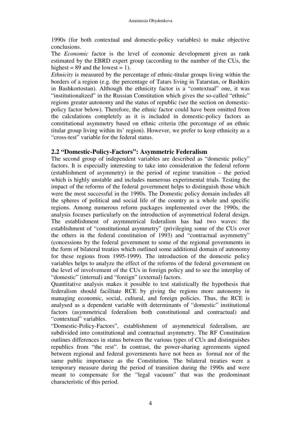1990s (for both contextual and domestic-policy variables) to make objective conclusions.

The *Economic* factor is the level of economic development given as rank estimated by the EBRD expert group (according to the number of the CUs, the highest =  $89$  and the lowest = 1).

*Ethnicity* is measured by the percentage of ethnic-titular groups living within the borders of a region (e.g. the percentage of Tatars living in Tatarstan, or Bashkirs in Bashkortostan). Although the ethnicity factor is a "contextual" one, it was "institutionalized" in the Russian Constitution which gives the so-called "ethnic" regions greater autonomy and the status of republic (see the section on domesticpolicy factor below). Therefore, the ethnic factor could have been omitted from the calculations completely as it is included in domestic-policy factors as constitutional asymmetry based on ethnic criteria (the percentage of an ethnic titular group living within its' region). However, we prefer to keep ethnicity as a "cross-test" variable for the federal status.

# **2.2 "Domestic-Policy-Factors": Asymmetric Federalism**

The second group of independent variables are described as "domestic policy" factors. It is especially interesting to take into consideration the federal reform (establishment of asymmetry) in the period of regime transition – the period which is highly unstable and includes numerous experimental trials. Testing the impact of the reforms of the federal government helps to distinguish those which were the most successful in the 1990s. The Domestic policy domain includes all the spheres of political and social life of the country as a whole and specific regions. Among numerous reform packages implemented over the 1990s, the analysis focuses particularly on the introduction of asymmetrical federal design. The establishment of asymmetrical federalism has had two waves: the establishment of "constitutional asymmetry" (privileging some of the CUs over the others in the federal constitution of 1993) and "contractual asymmetry" (concessions by the federal government to some of the regional governments in the form of bilateral treaties which outlined some additional domain of autonomy for these regions from 1995-1999). The introduction of the domestic policy variables helps to analyze the effect of the reforms of the federal government on the level of involvement of the CUs in foreign policy and to see the interplay of "domestic" (internal) and "foreign" (external) factors.

Quantitative analysis makes it possible to test statistically the hypothesis that federalism should facilitate RCE by giving the regions more autonomy in managing economic, social, cultural, and foreign policies. Thus, the RCE is analysed as a dependent variable with determinants of "domestic" institutional factors (asymmetrical federalism both constitutional and contractual) and "contextual" variables.

"Domestic-Policy-Factors", establishment of asymmetrical federalism, are subdivided into constitutional and contractual asymmetry. The RF Constitution outlines differences in status between the various types of CUs and distinguishes republics from "the rest". In contrast, the power-sharing agreements signed between regional and federal governments have not been as formal nor of the same public importance as the Constitution. The bilateral treaties were a temporary measure during the period of transition during the 1990s and were meant to compensate for the "legal vacuum" that was the predominant characteristic of this period.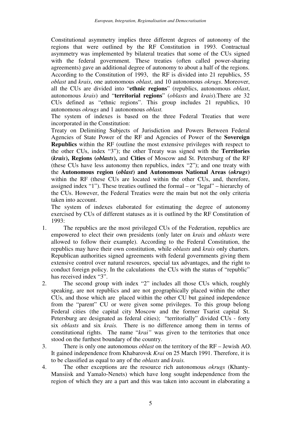Constitutional asymmetry implies three different degrees of autonomy of the regions that were outlined by the RF Constitution in 1993. Contractual asymmetry was implemented by bilateral treaties that some of the CUs signed with the federal government. These treaties (often called power-sharing agreements) gave an additional degree of autonomy to about a half of the regions. According to the Constitution of 1993, the RF is divided into 21 republics, 55 *oblast* and *krais*, one autonomous *oblast*, and 10 autonomous *okrugs*. Moreover, all the CUs are divided into "**ethnic regions**" (republics, autonomous *oblast*, autonomous *krais*) and "**territorial regions**" (*oblasts* and *krais*).There are 32 CUs defined as "ethnic regions". This group includes 21 republics, 10 autonomous *okrugs* and 1 autonomous *oblast.*

The system of indexes is based on the three Federal Treaties that were incorporated in the Constitution:

Treaty on Delimiting Subjects of Jurisdiction and Powers Between Federal Agencies of State Power of the RF and Agencies of Power of the **Sovereign Republics** within the RF (outline the most extensive privileges with respect to the other CUs, index "3"); the other Treaty was signed with the **Territories (***krais***), Regions (***oblasts***),** and **Cities** of Moscow and St. Petersburg of the RF (these CUs have less autonomy then republics, index "2"); and one treaty with the **Autonomous region (***oblast***) and Autonomous National Areas (***okrugs***)** within the RF (these CUs are located within the other CUs, and, therefore, assigned index "1"). These treaties outlined the formal – or "legal" – hierarchy of the CUs. However, the Federal Treaties were the main but not the only criteria taken into account.

The system of indexes elaborated for estimating the degree of autonomy exercised by CUs of different statuses as it is outlined by the RF Constitution of 1993:

- 1. The republics are the most privileged CUs of the Federation, republics are empowered to elect their own presidents (only later on *krais* and *oblasts* were allowed to follow their example). According to the Federal Constitution, the republics may have their own constitution, while *oblasts* and *krais* only charters. Republican authorities signed agreements with federal governments giving them extensive control over natural resources, special tax advantages, and the right to conduct foreign policy. In the calculations the CUs with the status of "republic" has received index "3".
- 2. The second group with index "2" includes all those CUs which, roughly speaking, are not republics and are not geographically placed within the other CUs, and those which are placed within the other CU but gained independence from the "parent" CU or were given some privileges. To this group belong Federal cities (the capital city Moscow and the former Tsarist capital St. Petersburg are designated as federal cities); "territorially" divided CUs - forty six *oblasts* and six *krais.* There is no difference among them in terms of constitutional rights. The name "*krai"* was given to the territories that once stood on the furthest boundary of the country.
- 3. There is only one autonomous *oblast* on the territory of the RF Jewish AO. It gained independence from Khabarovsk *Krai* on 25 March 1991. Therefore, it is to be classified as equal to any of the *oblasts* and *krais.*
- 4. The other exceptions are the resource rich autonomous *okrugs* (Khanty-Mansiisk and Yamalo-Nenets) which have long sought independence from the region of which they are a part and this was taken into account in elaborating a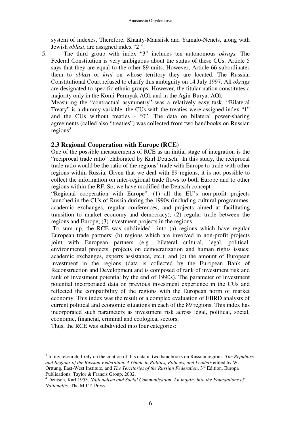system of indexes. Therefore, Khanty-Mansiisk and Yamalo-Nenets, along with Jewish *oblast*, are assigned index "2 ".

5. The third group with index "3" includes ten autonomous *okrugs.* The Federal Constitution is very ambiguous about the status of these CUs. Article 5 says that they are equal to the other 89 units. However, Article 66 subordinates them to *oblast* or *krai* on whose territory they are located. The Russian Constitutional Court refused to clarify this ambiguity on 14 July 1997. All *okrugs* are designated to specific ethnic groups. However, the titular nation constitutes a majority only in the Komi-Permyak AOk and in the Agin-Buryat AOk.

Measuring the "contractual asymmetry" was a relatively easy task. "Bilateral Treaty" is a dummy variable: the CUs with the treaties were assigned index "1" and the CUs without treaties - "0". The data on bilateral power-sharing agreements (called also "treaties") was collected from two handbooks on Russian  $regions<sup>3</sup>$ .

### **2.3 Regional Cooperation with Europe (RCE)**

One of the possible measurements of RCE as an initial stage of integration is the "reciprocal trade ratio" elaborated by Karl Deutsch.<sup>4</sup> In this study, the reciprocal trade ratio would be the ratio of the regions' trade with Europe to trade with other regions within Russia. Given that we deal with 89 regions, it is not possible to collect the information on inter-regional trade flows to both Europe and to other regions within the RF. So, we have modified the Deutsch concept

"Regional cooperation with Europe": (1) all the EU's non-profit projects launched in the CUs of Russia during the 1990s (including cultural programmes, academic exchanges, regular conferences, and projects aimed at facilitating transition to market economy and democracy); (2) regular trade between the regions and Europe; (3) investment projects in the regions.

 To sum up, the RCE was subdivided into (a) regions which have regular European trade partners; (b) regions which are involved in non-profit projects joint with European partners (e.g., bilateral cultural, legal, political, environmental projects, projects on democratization and human rights issues; academic exchanges, experts assistance, etc.); and (c) the amount of European investment in the regions (data is collected by the European Bank of Reconstruction and Development and is composed of rank of investment risk and rank of investment potential by the end of 1990s). The parameter of investment potential incorporated data on previous investment experience in the CUs and reflected the compatibility of the regions with the European norm of market economy. This index was the result of a complex evaluation of EBRD analysts of current political and economic situations in each of the 89 regions. This index has incorporated such parameters as investment risk across legal, political, social, economic, financial, criminal and ecological sectors.

Thus, the RCE was subdivided into four categories:

 $\overline{a}$ 

<sup>3</sup> In my research, I rely on the citation of this data in two handbooks on Russian regions: *The Republics and Regions of the Russian Federation. A Guide to Politics, Policies, and Leaders* edited by W. Orttung, East-West Institute, and *The Territories of the Russian Federation*. 3<sup>rd</sup> Edition, Europa Publications, Taylor & Francis Group, 2002.

<sup>&</sup>lt;sup>4</sup> Deutsch, Karl 1953. *Nationalism and Social Communication*. An inquiry into the Foundations of *Nationality.* The M.I.T. Press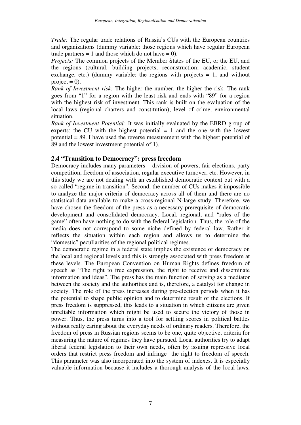*Trade:* The regular trade relations of Russia's CUs with the European countries and organizations (dummy variable: those regions which have regular European trade partners  $= 1$  and those which do not have  $= 0$ ).

*Projects:* The common projects of the Member States of the EU, or the EU, and the regions (cultural, building projects, reconstruction; academic, student exchange, etc.) (dummy variable: the regions with projects  $= 1$ , and without project  $= 0$ ).

*Rank of Investment risk:* The higher the number, the higher the risk. The rank goes from "1" for a region with the least risk and ends with "89" for a region with the highest risk of investment. This rank is built on the evaluation of the local laws (regional charters and constitution); level of crime, environmental situation.

*Rank of Investment Potential:* It was initially evaluated by the EBRD group of experts: the CU with the highest potential  $= 1$  and the one with the lowest potential = 89. I have used the reverse measurement with the highest potential of 89 and the lowest investment potential of 1).

#### **2.4 "Transition to Democracy": press freedom**

Democracy includes many parameters – division of powers, fair elections, party competition, freedom of association, regular executive turnover, etc. However, in this study we are not dealing with an established democratic context but with a so-called "regime in transition". Second, the number of CUs makes it impossible to analyze the major criteria of democracy across all of them and there are no statistical data available to make a cross-regional N-large study. Therefore, we have chosen the freedom of the press as a necessary prerequisite of democratic development and consolidated democracy. Local, regional, and "rules of the game" often have nothing to do with the federal legislation. Thus, the role of the media does not correspond to some niche defined by federal law. Rather it reflects the situation within each region and allows us to determine the "domestic" peculiarities of the regional political regimes.

The democratic regime in a federal state implies the existence of democracy on the local and regional levels and this is strongly associated with press freedom at these levels. The European Convention on Human Rights defines freedom of speech as "The right to free expression, the right to receive and disseminate information and ideas". The press has the main function of serving as a mediator between the society and the authorities and is, therefore, a catalyst for change in society. The role of the press increases during pre-election periods when it has the potential to shape public opinion and to determine result of the elections. If press freedom is suppressed, this leads to a situation in which citizens are given unreliable information which might be used to secure the victory of those in power. Thus, the press turns into a tool for settling scores in political battles without really caring about the everyday needs of ordinary readers. Therefore, the freedom of press in Russian regions seems to be one, quite objective, criteria for measuring the nature of regimes they have pursued. Local authorities try to adapt liberal federal legislation to their own needs, often by issuing repressive local orders that restrict press freedom and infringe the right to freedom of speech. This parameter was also incorporated into the system of indexes. It is especially valuable information because it includes a thorough analysis of the local laws,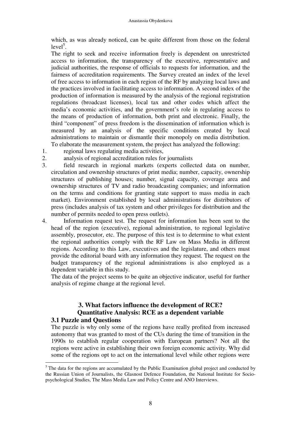which, as was already noticed, can be quite different from those on the federal  $level<sup>5</sup>$ .

The right to seek and receive information freely is dependent on unrestricted access to information, the transparency of the executive, representative and judicial authorities, the response of officials to requests for information, and the fairness of accreditation requirements. The Survey created an index of the level of free access to information in each region of the RF by analyzing local laws and the practices involved in facilitating access to information. A second index of the production of information is measured by the analysis of the regional registration regulations (broadcast licenses), local tax and other codes which affect the media's economic activities, and the government's role in regulating access to the means of production of information, both print and electronic. Finally, the third "component" of press freedom is the dissemination of information which is measured by an analysis of the specific conditions created by local administrations to maintain or dismantle their monopoly on media distribution.

To elaborate the measurement system, the project has analyzed the following:

1. regional laws regulating media activities,

 $\overline{a}$ 

- 2. analysis of regional accreditation rules for journalists
- 3. field research in regional markets (experts collected data on number, circulation and ownership structures of print media; number, capacity, ownership structures of publishing houses; number, signal capacity, coverage area and ownership structures of TV and radio broadcasting companies; and information on the terms and conditions for granting state support to mass media in each market). Environment established by local administrations for distributors of press (includes analysis of tax system and other privileges for distribution and the number of permits needed to open press outlets).
- 4. Information request test. The request for information has been sent to the head of the region (executive), regional administration, to regional legislative assembly, prosecutor, etc. The purpose of this test is to determine to what extent the regional authorities comply with the RF Law on Mass Media in different regions. According to this Law, executives and the legislature, and others must provide the editorial board with any information they request. The request on the budget transparency of the regional administrations is also employed as a dependent variable in this study.

The data of the project seems to be quite an objective indicator, useful for further analysis of regime change at the regional level.

### **3. What factors influence the development of RCE? Quantitative Analysis: RCE as a dependent variable 3.1 Puzzle and Questions**

The puzzle is why only some of the regions have really profited from increased autonomy that was granted to most of the CUs during the time of transition in the 1990s to establish regular cooperation with European partners? Not all the regions were active in establishing their own foreign economic activity. Why did some of the regions opt to act on the international level while other regions were

 $<sup>5</sup>$  The data for the regions are accumulated by the Public Examination global project and conducted by</sup> the Russian Union of Journalists, the Glasnost Defence Foundation, the National Institute for Sociopsychological Studies, The Mass Media Law and Policy Centre and ANO Interviews.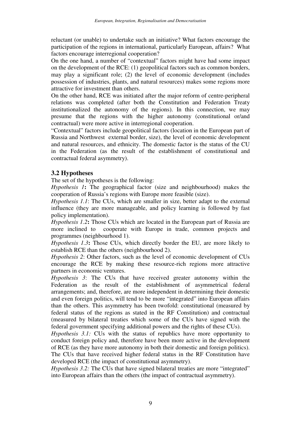reluctant (or unable) to undertake such an initiative? What factors encourage the participation of the regions in international, particularly European, affairs? What factors encourage interregional cooperation?

On the one hand, a number of "contextual" factors might have had some impact on the development of the RCE: (1) geopolitical factors such as common borders, may play a significant role; (2) the level of economic development (includes possession of industries, plants, and natural resources) makes some regions more attractive for investment than others.

On the other hand, RCE was initiated after the major reform of centre-peripheral relations was completed (after both the Constitution and Federation Treaty institutionalized the autonomy of the regions). In this connection, we may presume that the regions with the higher autonomy (constitutional or/and contractual) were more active in interregional cooperation.

"Contextual" factors include geopolitical factors (location in the European part of Russia and Northwest external border, size), the level of economic development and natural resources, and ethnicity. The domestic factor is the status of the CU in the Federation (as the result of the establishment of constitutional and contractual federal asymmetry).

# **3.2 Hypotheses**

The set of the hypotheses is the following:

*Hypothesis 1***:** The geographical factor (size and neighbourhood) makes the cooperation of Russia's regions with Europe more feasible (size).

*Hypothesis 1.1*: The CUs, which are smaller in size, better adapt to the external influence (they are more manageable, and policy learning is followed by fast policy implementation).

*Hypothesis 1.2***:** Those CUs which are located in the European part of Russia are more inclined to cooperate with Europe in trade, common projects and programmes (neighbourhood 1).

*Hypothesis 1.3***:** Those CUs, which directly border the EU, are more likely to establish RCE than the others (neighbourhood 2).

*Hypothesis 2*: Other factors, such as the level of economic development of CUs encourage the RCE by making these resource-rich regions more attractive partners in economic ventures.

*Hypothesis 3*: The CUs that have received greater autonomy within the Federation as the result of the establishment of asymmetrical federal arrangements; and, therefore, are more independent in determining their domestic and even foreign politics, will tend to be more "integrated" into European affairs than the others. This asymmetry has been twofold: constitutional (measured by federal status of the regions as stated in the RF Constitution) and contractual (measured by bilateral treaties which some of the CUs have signed with the federal government specifying additional powers and the rights of these CUs).

*Hypothesis 3.1:* CUs with the status of republics have more opportunity to conduct foreign policy and, therefore have been more active in the development of RCE (as they have more autonomy in both their domestic and foreign politics). The CUs that have received higher federal status in the RF Constitution have developed RCE (the impact of constitutional asymmetry).

*Hypothesis 3.2:* The CUs that have signed bilateral treaties are more "integrated" into European affairs than the others (the impact of contractual asymmetry).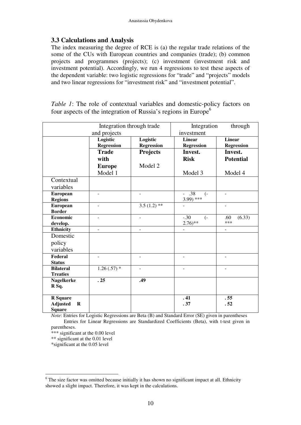# **3.3 Calculations and Analysis**

The index measuring the degree of RCE is (a) the regular trade relations of the some of the CUs with European countries and companies (trade); (b) common projects and programmes (projects); (c) investment (investment risk and investment potential). Accordingly, we run 4 regressions to test these aspects of the dependent variable: two logistic regressions for "trade" and "projects" models and two linear regressions for "investment risk" and "investment potential".

*Table 1*: The role of contextual variables and domestic-policy factors on four aspects of the integration of Russia's regions in Europe $<sup>6</sup>$ </sup>

| Integration through trade  |                   |                   | Integration<br>through                               |                      |  |
|----------------------------|-------------------|-------------------|------------------------------------------------------|----------------------|--|
|                            | and projects      | investment        |                                                      |                      |  |
|                            | Logistic          | Logistic          | <b>Linear</b>                                        | <b>Linear</b>        |  |
|                            | <b>Regression</b> | <b>Regression</b> | <b>Regression</b>                                    | <b>Regression</b>    |  |
|                            | <b>Trade</b>      | Projects          | Invest.                                              | Invest.              |  |
|                            | with              |                   | <b>Risk</b>                                          | <b>Potential</b>     |  |
|                            | <b>Europe</b>     | Model 2           |                                                      |                      |  |
|                            | Model 1           |                   | Model 3                                              | Model 4              |  |
| Contextual                 |                   |                   |                                                      |                      |  |
| variables                  |                   |                   |                                                      |                      |  |
| <b>European</b>            | ä,                |                   | .38<br>$\left( -\right)$<br>$\overline{\phantom{a}}$ | $\overline{a}$       |  |
| <b>Regions</b>             |                   |                   | $3.99$ ) ***                                         |                      |  |
| <b>European</b>            |                   | 3.5 $(1.2)$ **    |                                                      |                      |  |
| <b>Border</b>              |                   |                   |                                                      |                      |  |
| <b>Economic</b>            |                   |                   | $-.30$<br>$\left( -\right)$                          | (6.33)<br>.60<br>*** |  |
| develop.                   |                   |                   | $2.76$ <sup>**</sup>                                 |                      |  |
| <b>Ethnicity</b>           | ÷,                | $\blacksquare$    | $\overline{\phantom{a}}$                             | ÷,                   |  |
| Domestic                   |                   |                   |                                                      |                      |  |
| policy                     |                   |                   |                                                      |                      |  |
| variables                  |                   |                   |                                                      |                      |  |
| Federal                    |                   |                   |                                                      |                      |  |
| <b>Status</b>              |                   |                   |                                                      |                      |  |
| <b>Bilateral</b>           | $1.26(.57)$ *     |                   |                                                      |                      |  |
| <b>Treaties</b>            |                   |                   |                                                      |                      |  |
| <b>Nagelkerke</b>          | .25               | .49               |                                                      |                      |  |
| R Sq.                      |                   |                   |                                                      |                      |  |
| <b>R</b> Square            |                   |                   | .41                                                  | .55                  |  |
| <b>Adjusted</b><br>$\bf R$ |                   |                   | .37                                                  | .52                  |  |
| <b>Square</b>              |                   |                   |                                                      |                      |  |

*Note*: Entries for Logistic Regressions are Beta (B) and Standard Error (SE) given in parentheses Entries for Linear Regressions are Standardized Coefficients (Beta), with t-test given in

parentheses.

\*\*\* significant at the 0.00 level

\*\* significant at the 0.01 level

\*significant at the 0.05 level

<sup>&</sup>lt;sup>6</sup> The size factor was omitted because initially it has shown no significant impact at all. Ethnicity showed a slight impact. Therefore, it was kept in the calculations.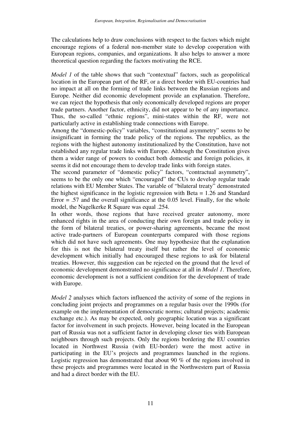The calculations help to draw conclusions with respect to the factors which might encourage regions of a federal non-member state to develop cooperation with European regions, companies, and organizations. It also helps to answer a more theoretical question regarding the factors motivating the RCE.

*Model 1* of the table shows that such "contextual" factors, such as geopolitical location in the European part of the RF, or a direct border with EU-countries had no impact at all on the forming of trade links between the Russian regions and Europe. Neither did economic development provide an explanation. Therefore, we can reject the hypothesis that only economically developed regions are proper trade partners. Another factor, ethnicity, did not appear to be of any importance. Thus, the so-called "ethnic regions", mini-states within the RF, were not particularly active in establishing trade connections with Europe.

Among the "domestic-policy" variables, "constitutional asymmetry" seems to be insignificant in forming the trade policy of the regions. The republics, as the regions with the highest autonomy institutionalized by the Constitution, have not established any regular trade links with Europe. Although the Constitution gives them a wider range of powers to conduct both domestic and foreign policies, it seems it did not encourage them to develop trade links with foreign states.

The second parameter of "domestic policy" factors, "contractual asymmetry", seems to be the only one which "encouraged" the CUs to develop regular trade relations with EU Member States. The variable of "bilateral treaty" demonstrated the highest significance in the logistic regression with Beta = 1.26 and Standard Error  $= .57$  and the overall significance at the 0.05 level. Finally, for the whole model, the Nagelkerke R Square was equal .254.

In other words, those regions that have received greater autonomy, more enhanced rights in the area of conducting their own foreign and trade policy in the form of bilateral treaties, or power-sharing agreements, became the most active trade-partners of European counterparts compared with those regions which did not have such agreements. One may hypothesize that the explanation for this is not the bilateral treaty itself but rather the level of economic development which initially had encouraged these regions to ask for bilateral treaties. However, this suggestion can be rejected on the ground that the level of economic development demonstrated no significance at all in *Model 1*. Therefore, economic development is not a sufficient condition for the development of trade with Europe.

*Model 2* analyses which factors influenced the activity of some of the regions in concluding joint projects and programmes on a regular basis over the 1990s (for example on the implementation of democratic norms; cultural projects; academic exchange etc.). As may be expected, only geographic location was a significant factor for involvement in such projects. However, being located in the European part of Russia was not a sufficient factor in developing closer ties with European neighbours through such projects. Only the regions bordering the EU countries located in Northwest Russia (with EU-border) were the most active in participating in the EU's projects and programmes launched in the regions. Logistic regression has demonstrated that about 90 % of the regions involved in these projects and programmes were located in the Northwestern part of Russia and had a direct border with the EU.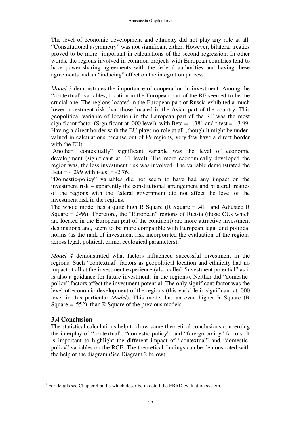The level of economic development and ethnicity did not play any role at all. "Constitutional asymmetry" was not significant either. However, bilateral treaties proved to be more important in calculations of the second regression. In other words, the regions involved in common projects with European countries tend to have power-sharing agreements with the federal authorities and having these agreements had an "inducing" effect on the integration process.

*Model 3* demonstrates the importance of cooperation in investment. Among the "contextual" variables, location in the European part of the RF seemed to be the crucial one. The regions located in the European part of Russia exhibited a much lower investment risk than those located in the Asian part of the country. This geopolitical variable of location in the European part of the RF was the most significant factor (Significant at .000 level), with Beta =  $-0.381$  and t-test =  $-0.399$ . Having a direct border with the EU plays no role at all (though it might be undervalued in calculations because out of 89 regions, very few have a direct border with the EU).

 Another "contextually" significant variable was the level of economic development (significant at .01 level). The more economically developed the region was, the less investment risk was involved. The variable demonstrated the Beta =  $-0.299$  with t-test =  $-2.76$ .

"Domestic-policy" variables did not seem to have had any impact on the investment risk – apparently the constitutional arrangement and bilateral treaties of the regions with the federal government did not affect the level of the investment risk in the regions.

The whole model has a quite high R Square (R Square  $= .411$  and Adjusted R Square = .366). Therefore, the "European" regions of Russia (those CUs which are located in the European part of the continent) are more attractive investment destinations and, seem to be more compatible with European legal and political norms (as the rank of investment risk incorporated the evaluation of the regions across legal, political, crime, ecological parameters).<sup>7</sup>

*Model 4* demonstrated what factors influenced successful investment in the regions. Such "contextual" factors as geopolitical location and ethnicity had no impact at all at the investment experience (also called "investment potential" as it is also a guidance for future investments in the regions). Neither did "domesticpolicy" factors affect the investment potential. The only significant factor was the level of economic development of the regions (this variable is significant at .000 level in this particular *Model*). This model has an even higher R Square (R Square  $= .552$ ) than R Square of the previous models.

# **3.4 Conclusion**

The statistical calculations help to draw some theoretical conclusions concerning the interplay of "contextual", "domestic-policy", and "foreign policy" factors. It is important to highlight the different impact of "contextual" and "domesticpolicy" variables on the RCE. The theoretical findings can be demonstrated with the help of the diagram (See Diagram 2 below).

 $\overline{a}$  $<sup>7</sup>$  For details see Chapter 4 and 5 which describe in detail the EBRD evaluation system.</sup>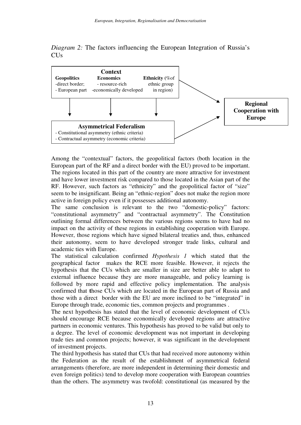



Among the "contextual" factors, the geopolitical factors (both location in the European part of the RF and a direct border with the EU) proved to be important. The regions located in this part of the country are more attractive for investment and have lower investment risk compared to those located in the Asian part of the RF. However, such factors as "ethnicity" and the geopolitical factor of "size" seem to be insignificant. Being an "ethnic-region" does not make the region more active in foreign policy even if it possesses additional autonomy.

The same conclusion is relevant to the two "domestic-policy" factors: "constitutional asymmetry" and "contractual asymmetry". The Constitution outlining formal differences between the various regions seems to have had no impact on the activity of these regions in establishing cooperation with Europe. However, those regions which have signed bilateral treaties and, thus, enhanced their autonomy, seem to have developed stronger trade links, cultural and academic ties with Europe.

The statistical calculation confirmed *Hypothesis 1* which stated that the geographical factor makes the RCE more feasible. However, it rejects the hypothesis that the CUs which are smaller in size are better able to adapt to external influence because they are more manageable, and policy learning is followed by more rapid and effective policy implementation. The analysis confirmed that **t**hose CUs which are located in the European part of Russia and those with a direct border with the EU are more inclined to be "integrated" in Europe through trade, economic ties, common projects and programmes .

The next hypothesis has stated that the level of economic development of CUs should encourage RCE because economically developed regions are attractive partners in economic ventures. This hypothesis has proved to be valid but only to a degree. The level of economic development was not important in developing trade ties and common projects; however, it was significant in the development of investment projects.

The third hypothesis has stated that CUs that had received more autonomy within the Federation as the result of the establishment of asymmetrical federal arrangements (therefore, are more independent in determining their domestic and even foreign politics) tend to develop more cooperation with European countries than the others. The asymmetry was twofold: constitutional (as measured by the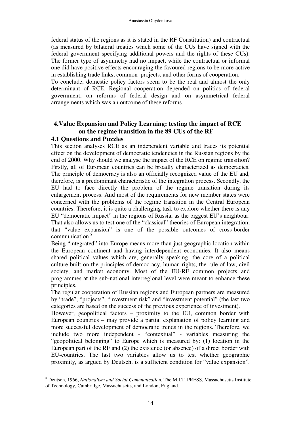federal status of the regions as it is stated in the RF Constitution) and contractual (as measured by bilateral treaties which some of the CUs have signed with the federal government specifying additional powers and the rights of these CUs). The former type of asymmetry had no impact, while the contractual or informal one did have positive effects encouraging the favoured regions to be more active in establishing trade links, common projects, and other forms of cooperation.

To conclude, domestic policy factors seem to be the real and almost the only determinant of RCE. Regional cooperation depended on politics of federal government, on reforms of federal design and on asymmetrical federal arrangements which was an outcome of these reforms.

# **4.Value Expansion and Policy Learning: testing the impact of RCE on the regime transition in the 89 CUs of the RF**

### **4.1 Questions and Puzzles**

This section analyses RCE as an independent variable and traces its potential effect on the development of democratic tendencies in the Russian regions by the end of 2000. Why should we analyse the impact of the RCE on regime transition? Firstly, all of European countries can be broadly characterized as democracies. The principle of democracy is also an officially recognized value of the EU and, therefore, is a predominant characteristic of the integration process. Secondly, the EU had to face directly the problem of the regime transition during its enlargement process. And most of the requirements for new member states were concerned with the problems of the regime transition in the Central European countries. Therefore, it is quite a challenging task to explore whether there is any EU "democratic impact" in the regions of Russia, as the biggest EU's neighbour. That also allows us to test one of the "classical" theories of European integration; that "value expansion" is one of the possible outcomes of cross-border communication.<sup>8</sup>

Being "integrated" into Europe means more than just geographic location within the European continent and having interdependent economies. It also means shared political values which are, generally speaking, the core of a political culture built on the principles of democracy, human rights, the rule of law, civil society, and market economy. Most of the EU-RF common projects and programmes at the sub-national interregional level were meant to enhance these principles.

The regular cooperation of Russian regions and European partners are measured by "trade", "projects", "investment risk" and "investment potential" (the last two categories are based on the success of the previous experience of investment).

However, geopolitical factors – proximity to the EU, common border with European countries – may provide a partial explanation of policy learning and more successful development of democratic trends in the regions. Therefore, we include two more independent - "contextual" - variables measuring the "geopolitical belonging" to Europe which is measured by: (1) location in the European part of the RF and (2) the existence (or absence) of a direct border with EU-countries. The last two variables allow us to test whether geographic proximity, as argued by Deutsch, is a sufficient condition for "value expansion".

 $\overline{a}$ 8 Deutsch, 1966, *Nationalism and Social Communication.* The M.I.T. PRESS, Massachusetts Institute of Technology, Cambridge, Massachusetts, and London, England.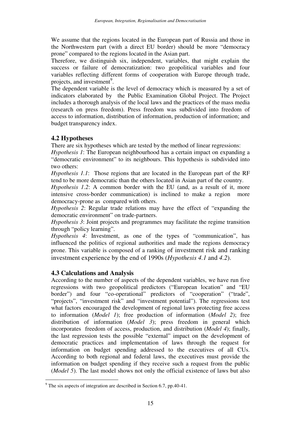We assume that the regions located in the European part of Russia and those in the Northwestern part (with a direct EU border) should be more "democracy prone" compared to the regions located in the Asian part.

Therefore, we distinguish six, independent, variables, that might explain the success or failure of democratization: two geopolitical variables and four variables reflecting different forms of cooperation with Europe through trade, projects, and investment<sup>9</sup>.

The dependent variable is the level of democracy which is measured by a set of indicators elaborated by the Public Examination Global Project. The Project includes a thorough analysis of the local laws and the practices of the mass media (research on press freedom). Press freedom was subdivided into freedom of access to information, distribution of information, production of information; and budget transparency index.

# **4.2 Hypotheses**

There are six hypotheses which are tested by the method of linear regressions:

*Hypothesis 1*: The European neighbourhood has a certain impact on expanding a "democratic environment" to its neighbours. This hypothesis is subdivided into two others:

*Hypothesis 1.1*: Those regions that are located in the European part of the RF tend to be more democratic than the others located in Asian part of the country.

*Hypothesis 1.2*: A common border with the EU (and, as a result of it, more intensive cross-border communication) is inclined to make a region more democracy-prone as compared with others.

*Hypothesis 2*: Regular trade relations may have the effect of "expanding the democratic environment" on trade-partners.

*Hypothesis 3*: Joint projects and programmes may facilitate the regime transition through "policy learning".

*Hypothesis 4*: Investment, as one of the types of "communication", has influenced the politics of regional authorities and made the regions democracy prone. This variable is composed of a ranking of investment risk and ranking investment experience by the end of 1990s (*Hypothesis 4.1* and *4.2*).

# **4.3 Calculations and Analysis**

According to the number of aspects of the dependent variables, we have run five regressions with two geopolitical predictors ("European location" and "EU border") and four "co-operational" predictors of "cooperation" ("trade", "projects", "investment risk" and "investment potential"). The regressions test what factors encouraged the development of regional laws protecting free access to information (*Model 1*); free production of information (*Model 2*); free distribution of information (*Model 3*); press freedom in general which incorporates freedom of access, production, and distribution (*Model 4*); finally, the last regression tests the possible "external" impact on the development of democratic practices and implementation of laws through the request for information on budget spending addressed to the executives of all CUs. According to both regional and federal laws, the executives must provide the information on budget spending if they receive such a request from the public (*Model 5*). The last model shows not only the official existence of laws but also

 $\overline{a}$ <sup>9</sup> The six aspects of integration are described in Section 6.7, pp.40-41.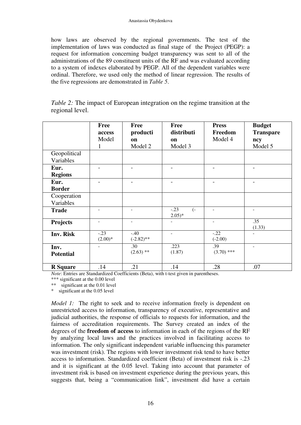how laws are observed by the regional governments. The test of the implementation of laws was conducted as final stage of the Project (PEGP): a request for information concerning budget transparency was sent to all of the administrations of the 89 constituent units of the RF and was evaluated according to a system of indexes elaborated by PEGP. All of the dependent variables were ordinal. Therefore, we used only the method of linear regression. The results of the five regressions are demonstrated in *Table 5*.

| <i>Table 2:</i> The impact of European integration on the regime transition at the |  |  |
|------------------------------------------------------------------------------------|--|--|
| regional level.                                                                    |  |  |

|                           | <b>Free</b><br>access<br>Model<br>1 | Free<br>producti<br>on<br>Model 2 | <b>Free</b><br>distributi<br>on<br>Model 3 | <b>Press</b><br>Freedom<br>Model 4 | <b>Budget</b><br><b>Transpare</b><br>ncy<br>Model 5 |
|---------------------------|-------------------------------------|-----------------------------------|--------------------------------------------|------------------------------------|-----------------------------------------------------|
| Geopolitical<br>Variables |                                     |                                   |                                            |                                    |                                                     |
| Eur.<br><b>Regions</b>    |                                     |                                   |                                            |                                    |                                                     |
| Eur.<br><b>Border</b>     |                                     |                                   |                                            | $\qquad \qquad$                    |                                                     |
| Cooperation<br>Variables  |                                     |                                   |                                            |                                    |                                                     |
| <b>Trade</b>              |                                     |                                   | $-.23$<br>$\overline{(-)}$<br>$2.05)*$     | ÷                                  | $\overline{\phantom{a}}$                            |
| <b>Projects</b>           | $\overline{\phantom{a}}$            | $\overline{\phantom{a}}$          |                                            | ÷                                  | $\overline{.35}$<br>(1.33)                          |
| Inv. Risk                 | $-.23$<br>$(2.00)*$                 | $-.40$<br>$(-2.82)$ **            | $\overline{\phantom{a}}$                   | $-.22$<br>$(-2.00)$                |                                                     |
| Inv.<br><b>Potential</b>  |                                     | .30<br>$(2.63)$ **                | .223<br>(1.87)                             | .39<br>$(3.70)$ ***                |                                                     |
| <b>R</b> Square           | .14                                 | .21                               | .14                                        | .28                                | .07                                                 |

*Note*: Entries are Standardized Coefficients (Beta), with t-test given in parentheses.

\*\*\* significant at the 0.00 level

\*\* significant at the 0.01 level

\* significant at the 0.05 level

*Model 1:* The right to seek and to receive information freely is dependent on unrestricted access to information, transparency of executive, representative and judicial authorities, the response of officials to requests for information, and the fairness of accreditation requirements. The Survey created an index of the degrees of the **freedom of access** to information in each of the regions of the RF by analyzing local laws and the practices involved in facilitating access to information. The only significant independent variable influencing this parameter was investment (risk). The regions with lower investment risk tend to have better access to information. Standardized coefficient (Beta) of investment risk is -.23 and it is significant at the 0.05 level. Taking into account that parameter of investment risk is based on investment experience during the previous years, this suggests that, being a "communication link", investment did have a certain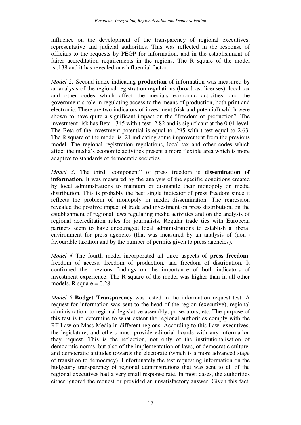influence on the development of the transparency of regional executives, representative and judicial authorities. This was reflected in the response of officials to the requests by PEGP for information, and in the establishment of fairer accreditation requirements in the regions. The R square of the model is .138 and it has revealed one influential factor.

*Model 2:* Second index indicating **production** of information was measured by an analysis of the regional registration regulations (broadcast licenses), local tax and other codes which affect the media's economic activities, and the government's role in regulating access to the means of production, both print and electronic. There are two indicators of investment (risk and potential) which were shown to have quite a significant impact on the "freedom of production". The investment risk has Beta -.345 with t-test -2.82 and is significant at the 0.01 level. The Beta of the investment potential is equal to .295 with t-test equal to 2.63. The R square of the model is .21 indicating some improvement from the previous model. The regional registration regulations, local tax and other codes which affect the media's economic activities present a more flexible area which is more adaptive to standards of democratic societies.

*Model 3:* The third "component" of press freedom is **dissemination of information.** It was measured by the analysis of the specific conditions created by local administrations to maintain or dismantle their monopoly on media distribution. This is probably the best single indicator of press freedom since it reflects the problem of monopoly in media dissemination. The regression revealed the positive impact of trade and investment on press distribution, on the establishment of regional laws regulating media activities and on the analysis of regional accreditation rules for journalists. Regular trade ties with European partners seem to have encouraged local administrations to establish a liberal environment for press agencies (that was measured by an analysis of (non-) favourable taxation and by the number of permits given to press agencies).

*Model 4* The fourth model incorporated all three aspects of **press freedom**: freedom of access, freedom of production, and freedom of distribution. It confirmed the previous findings on the importance of both indicators of investment experience. The R square of the model was higher than in all other models, R square  $= 0.28$ .

*Model 5* **Budget Transparency** was tested in the information request test. A request for information was sent to the head of the region (executive), regional administration, to regional legislative assembly, prosecutors, etc. The purpose of this test is to determine to what extent the regional authorities comply with the RF Law on Mass Media in different regions. According to this Law, executives, the legislature, and others must provide editorial boards with any information they request. This is the reflection, not only of the institutionalisation of democratic norms, but also of the implementation of laws, of democratic culture, and democratic attitudes towards the electorate (which is a more advanced stage of transition to democracy). Unfortunately the test requesting information on the budgetary transparency of regional administrations that was sent to all of the regional executives had a very small response rate. In most cases, the authorities either ignored the request or provided an unsatisfactory answer. Given this fact,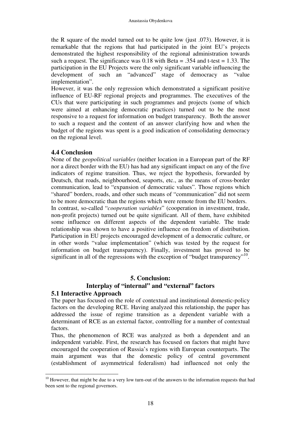the R square of the model turned out to be quite low (just .073). However, it is remarkable that the regions that had participated in the joint EU's projects demonstrated the highest responsibility of the regional administration towards such a request. The significance was  $0.18$  with Beta = .354 and t-test = 1.33. The participation in the EU Projects were the only significant variable influencing the development of such an "advanced" stage of democracy as "value implementation".

However, it was the only regression which demonstrated a significant positive influence of EU-RF regional projects and programmes. The executives of the CUs that were participating in such programmes and projects (some of which were aimed at enhancing democratic practices) turned out to be the most responsive to a request for information on budget transparency. Both the answer to such a request and the content of an answer clarifying how and when the budget of the regions was spent is a good indication of consolidating democracy on the regional level.

#### **4.4 Conclusion**

None of the *geopolitical variables* (neither location in a European part of the RF nor a direct border with the EU) has had any significant impact on any of the five indicators of regime transition. Thus, we reject the hypothesis, forwarded by Deutsch, that roads, neighbourhood, seaports, etc., as the means of cross-border communication, lead to "expansion of democratic values". Those regions which "shared" borders, roads, and other such means of "communication" did not seem to be more democratic than the regions which were remote from the EU borders.

In contrast, so-called "*cooperation variables*" (cooperation in investment, trade, non-profit projects) turned out be quite significant. All of them, have exhibited some influence on different aspects of the dependent variable. The trade relationship was shown to have a positive influence on freedom of distribution. Participation in EU projects encouraged development of a democratic culture, or in other words "value implementation" (which was tested by the request for information on budget transparency). Finally, investment has proved to be significant in all of the regressions with the exception of "budget transparency"<sup>10</sup>.

### **5. Conclusion:**

# **Interplay of "internal" and "external" factors**

### **5.1 Interactive Approach**

The paper has focused on the role of contextual and institutional domestic-policy factors on the developing RCE. Having analyzed this relationship, the paper has addressed the issue of regime transition as a dependent variable with a determinant of RCE as an external factor, controlling for a number of contextual factors.

Thus, the phenomenon of RCE was analyzed as both a dependent and an independent variable. First, the research has focused on factors that might have encouraged the cooperation of Russia's regions with European counterparts. The main argument was that the domestic policy of central government (establishment of asymmetrical federalism) had influenced not only the

 $\overline{a}$  $10$  However, that might be due to a very low turn-out of the answers to the information requests that had been sent to the regional governors.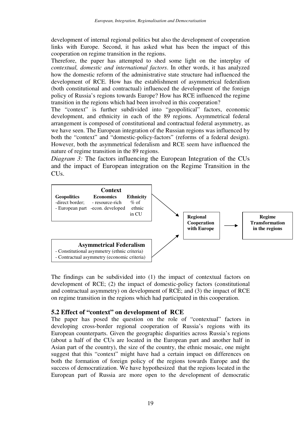development of internal regional politics but also the development of cooperation links with Europe. Second, it has asked what has been the impact of this cooperation on regime transition in the regions.

Therefore, the paper has attempted to shed some light on the interplay of *contextual, domestic and international factors*. In other words, it has analyzed how the domestic reform of the administrative state structure had influenced the development of RCE. How has the establishment of asymmetrical federalism (both constitutional and contractual) influenced the development of the foreign policy of Russia's regions towards Europe? How has RCE influenced the regime transition in the regions which had been involved in this cooperation?

The "context" is further subdivided into "geopolitical" factors, economic development, and ethnicity in each of the 89 regions. Asymmetrical federal arrangement is composed of constitutional and contractual federal asymmetry, as we have seen. The European integration of the Russian regions was influenced by both the "context" and "domestic-policy-factors" (reforms of a federal design). However, both the asymmetrical federalism and RCE seem have influenced the nature of regime transition in the 89 regions.

*Diagram 3:* The factors influencing the European Integration of the CUs and the impact of European integration on the Regime Transition in the CUs.



The findings can be subdivided into (1) the impact of contextual factors on development of RCE; (2) the impact of domestic-policy factors (constitutional and contractual asymmetry) on development of RCE; and (3) the impact of RCE on regime transition in the regions which had participated in this cooperation.

### **5.2 Effect of "context" on development of RCE**

The paper has posed the question on the role of "contextual" factors in developing cross-border regional cooperation of Russia's regions with its European counterparts. Given the geographic disparities across Russia's regions (about a half of the CUs are located in the European part and another half in Asian part of the country), the size of the country, the ethnic mosaic, one might suggest that this "context" might have had a certain impact on differences on both the formation of foreign policy of the regions towards Europe and the success of democratization. We have hypothesized that the regions located in the European part of Russia are more open to the development of democratic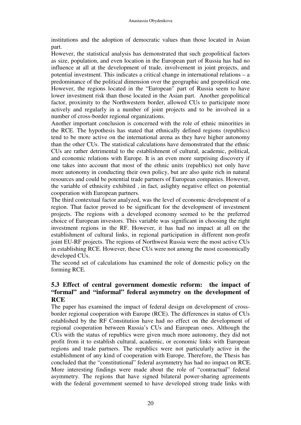institutions and the adoption of democratic values than those located in Asian part.

However, the statistical analysis has demonstrated that such geopolitical factors as size, population, and even location in the European part of Russia has had no influence at all at the development of trade, involvement in joint projects, and potential investment. This indicates a critical change in international relations – a predominance of the political dimension over the geographic and geopolitical one. However, the regions located in the "European" part of Russia seem to have lower investment risk than those located in the Asian part. Another geopolitical factor, proximity to the Northwestern border, allowed CUs to participate more actively and regularly in a number of joint projects and to be involved in a number of cross-border regional organizations.

Another important conclusion is concerned with the role of ethnic minorities in the RCE. The hypothesis has stated that ethnically defined regions (republics) tend to be more active on the international arena as they have higher autonomy than the other CUs. The statistical calculations have demonstrated that the ethnic CUs are rather detrimental to the establishment of cultural, academic, political, and economic relations with Europe. It is an even more surprising discovery if one takes into account that most of the ethnic units (republics) not only have more autonomy in conducting their own policy, but are also quite rich in natural resources and could be potential trade partners of European companies. However, the variable of ethnicity exhibited , in fact, aslighty negative effect on potential cooperation with European partners.

The third contextual factor analyzed, was the level of economic development of a region. That factor proved to be significant for the development of investment projects. The regions with a developed economy seemed to be the preferred choice of European investors. This variable was significant in choosing the right investment regions in the RF. However, it has had no impact at all on the establishment of cultural links, in regional participation in different non-profit joint EU-RF projects. The regions of Northwest Russia were the most active CUs in establishing RCE. However, these CUs were not among the most economically developed CUs.

The second set of calculations has examined the role of domestic policy on the forming RCE.

# **5.3 Effect of central government domestic reform: the impact of "formal" and "informal" federal asymmetry on the development of RCE**

The paper has examined the impact of federal design on development of crossborder regional cooperation with Europe (RCE). The differences in status of CUs established by the RF Constitution have had no effect on the development of regional cooperation between Russia's CUs and European ones. Although the CUs with the status of republics were given much more autonomy, they did not profit from it to establish cultural, academic, or economic links with European regions and trade partners. The republics were not particularly active in the establishment of any kind of cooperation with Europe. Therefore, the Thesis has concluded that the "constitutional" federal asymmetry has had no impact on RCE. More interesting findings were made about the role of "contractual" federal asymmetry. The regions that have signed bilateral power-sharing agreements with the federal government seemed to have developed strong trade links with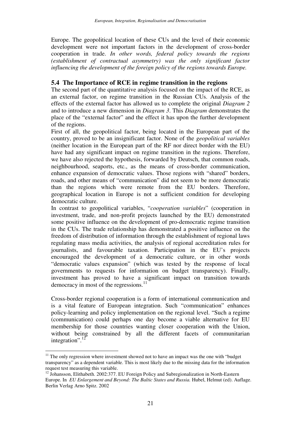Europe. The geopolitical location of these CUs and the level of their economic development were not important factors in the development of cross-border cooperation in trade. *In other words, federal policy towards the regions (establishment of contractual asymmetry) was the only significant factor influencing the development of the foreign policy of the regions towards Europe.* 

#### **5.4 The Importance of RCE in regime transition in the regions**

The second part of the quantitative analysis focused on the impact of the RCE, as an external factor, on regime transition in the Russian CUs. Analysis of the effects of the external factor has allowed us to complete the original *Diagram 2* and to introduce a new dimension in *Diagram 3*. This *Diagram* demonstrates the place of the "external factor" and the effect it has upon the further development of the regions.

First of all, the geopolitical factor, being located in the European part of the country, proved to be an insignificant factor. None of the *geopolitical variables* (neither location in the European part of the RF nor direct border with the EU) have had any significant impact on regime transition in the regions. Therefore, we have also rejected the hypothesis, forwarded by Deutsch, that common roads, neighbourhood, seaports, etc., as the means of cross-border communication, enhance expansion of democratic values. Those regions with "shared" borders, roads, and other means of "communication" did not seem to be more democratic than the regions which were remote from the EU borders. Therefore, geographical location in Europe is not a sufficient condition for developing democratic culture.

In contrast to geopolitical variables, "*cooperation variables*" (cooperation in investment, trade, and non-profit projects launched by the EU) demonstrated some positive influence on the development of pro-democratic regime transition in the CUs. The trade relationship has demonstrated a positive influence on the freedom of distribution of information through the establishment of regional laws regulating mass media activities, the analysis of regional accreditation rules for journalists, and favourable taxation. Participation in the EU's projects encouraged the development of a democratic culture, or in other words "democratic values expansion" (which was tested by the response of local governments to requests for information on budget transparency). Finally, investment has proved to have a significant impact on transition towards democracy in most of the regressions. $^{11}$ 

Cross-border regional cooperation is a form of international communication and is a vital feature of European integration. Such "communication" enhances policy-learning and policy implementation on the regional level. "Such a regime (communication) could perhaps one day become a viable alternative for EU membership for those countries wanting closer cooperation with the Union, without being constrained by all the different facets of communitarian integration". $12$ <sup>T</sup>

 $\overline{a}$ 

 $11$  The only regression where investment showed not to have an impact was the one with "budget" transparency" as a dependent variable. This is most likely due to the missing data for the information request test measuring this variable.

<sup>&</sup>lt;sup>12</sup> Johansson, Elithabeth. 2002:377. EU Foreign Policy and Subregionalization in North-Eastern Europe. In *EU Enlargement and Beyond: The Baltic States and Russia.* Hubel, Helmut (ed). Auflage. Berlin Verlag Arno Spitz. 2002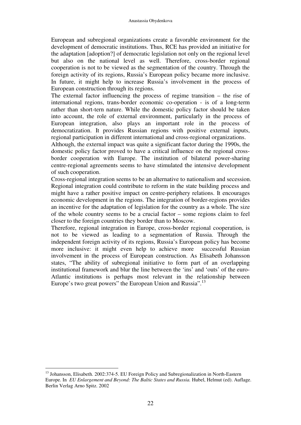European and subregional organizations create a favorable environment for the development of democratic institutions. Thus, RCE has provided an initiative for the adaptation [adoption?] of democratic legislation not only on the regional level but also on the national level as well. Therefore, cross-border regional cooperation is not to be viewed as the segmentation of the country. Through the foreign activity of its regions, Russia's European policy became more inclusive. In future, it might help to increase Russia's involvement in the process of European construction through its regions.

The external factor influencing the process of regime transition – the rise of international regions, trans-border economic co-operation - is of a long-term rather than short-tern nature. While the domestic policy factor should be taken into account, the role of external environment, particularly in the process of European integration, also plays an important role in the process of democratization. It provides Russian regions with positive external inputs, regional participation in different international and cross-regional organizations.

Although, the external impact was quite a significant factor during the 1990s, the domestic policy factor proved to have a critical influence on the regional crossborder cooperation with Europe. The institution of bilateral power-sharing centre-regional agreements seems to have stimulated the intensive development of such cooperation.

Cross-regional integration seems to be an alternative to nationalism and secession. Regional integration could contribute to reform in the state building process and might have a rather positive impact on centre-periphery relations. It encourages economic development in the regions. The integration of border-regions provides an incentive for the adaptation of legislation for the country as a whole. The size of the whole country seems to be a crucial factor – some regions claim to feel closer to the foreign countries they border than to Moscow.

Therefore, regional integration in Europe, cross-border regional cooperation, is not to be viewed as leading to a segmentation of Russia. Through the independent foreign activity of its regions, Russia's European policy has become more inclusive: it might even help to achieve more successful Russian involvement in the process of European construction. As Elisabeth Johansson states, "The ability of subregional initiative to form part of an overlapping institutional framework and blur the line between the 'ins' and 'outs' of the euro-Atlantic institutions is perhaps most relevant in the relationship between Europe's two great powers" the European Union and Russia".<sup>13</sup>

 $\overline{a}$ <sup>13</sup> Johansson, Elisabeth. 2002:374-5. EU Foreign Policy and Subregionalization in North-Eastern Europe. In *EU Enlargement and Beyond: The Baltic States and Russia.* Hubel, Helmut (ed). Auflage. Berlin Verlag Arno Spitz. 2002